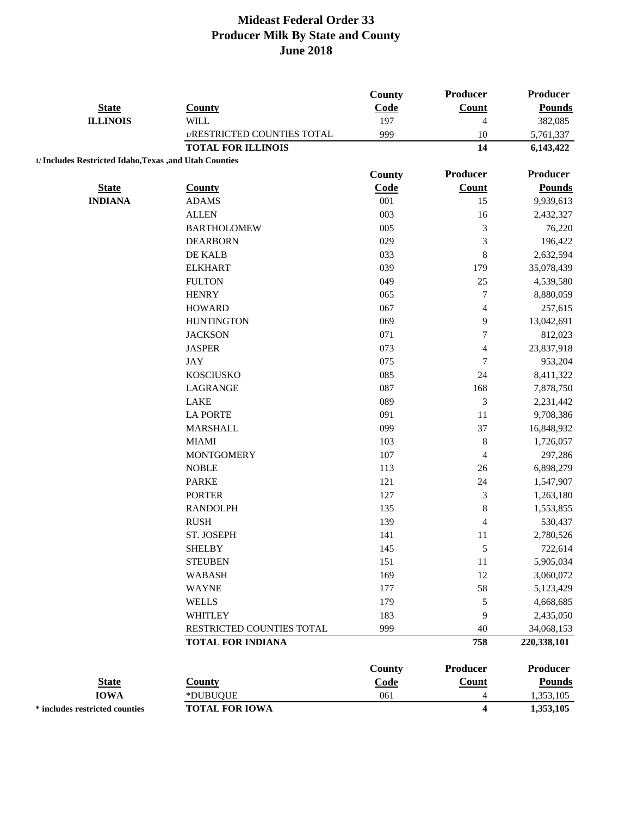|                                                         |                             | <b>County</b> | Producer                | <b>Producer</b> |
|---------------------------------------------------------|-----------------------------|---------------|-------------------------|-----------------|
| <b>State</b>                                            | <b>County</b>               | Code          | <b>Count</b>            | <b>Pounds</b>   |
| <b>ILLINOIS</b>                                         | <b>WILL</b>                 | 197           | $\overline{4}$          | 382,085         |
|                                                         | 1/RESTRICTED COUNTIES TOTAL | 999           | 10                      | 5,761,337       |
|                                                         | <b>TOTAL FOR ILLINOIS</b>   |               | 14                      | 6,143,422       |
| 1/ Includes Restricted Idaho, Texas , and Utah Counties |                             |               |                         |                 |
|                                                         |                             | <b>County</b> | <b>Producer</b>         | <b>Producer</b> |
| <b>State</b>                                            | <b>County</b>               | Code          | <b>Count</b>            | <b>Pounds</b>   |
| <b>INDIANA</b>                                          | <b>ADAMS</b>                | 001           | 15                      | 9,939,613       |
|                                                         | <b>ALLEN</b>                | 003           | 16                      | 2,432,327       |
|                                                         | <b>BARTHOLOMEW</b>          | 005           | $\mathfrak{Z}$          | 76,220          |
|                                                         | <b>DEARBORN</b>             | 029           | $\mathfrak{Z}$          | 196,422         |
|                                                         | DE KALB                     | 033           | $\,8\,$                 | 2,632,594       |
|                                                         | <b>ELKHART</b>              | 039           | 179                     | 35,078,439      |
|                                                         | <b>FULTON</b>               | 049           | 25                      | 4,539,580       |
|                                                         | <b>HENRY</b>                | 065           | $\boldsymbol{7}$        | 8,880,059       |
|                                                         | <b>HOWARD</b>               | 067           | $\overline{4}$          | 257,615         |
|                                                         | <b>HUNTINGTON</b>           | 069           | 9                       | 13,042,691      |
|                                                         | <b>JACKSON</b>              | 071           | $\tau$                  | 812,023         |
|                                                         | <b>JASPER</b>               | 073           | 4                       | 23,837,918      |
|                                                         | JAY                         | 075           | $\tau$                  | 953,204         |
|                                                         | <b>KOSCIUSKO</b>            | 085           | 24                      | 8,411,322       |
|                                                         | LAGRANGE                    | 087           | 168                     | 7,878,750       |
|                                                         | <b>LAKE</b>                 | 089           | $\mathfrak{Z}$          | 2,231,442       |
|                                                         | <b>LA PORTE</b>             | 091           | 11                      | 9,708,386       |
|                                                         | <b>MARSHALL</b>             | 099           | 37                      | 16,848,932      |
|                                                         | <b>MIAMI</b>                | 103           | $\,8\,$                 | 1,726,057       |
|                                                         | <b>MONTGOMERY</b>           | 107           | $\overline{4}$          | 297,286         |
|                                                         | <b>NOBLE</b>                | 113           | 26                      | 6,898,279       |
|                                                         | <b>PARKE</b>                | 121           | 24                      | 1,547,907       |
|                                                         | <b>PORTER</b>               | 127           | $\mathfrak{Z}$          | 1,263,180       |
|                                                         | <b>RANDOLPH</b>             | 135           | $\,8\,$                 | 1,553,855       |
|                                                         | <b>RUSH</b>                 | 139           | 4                       | 530,437         |
|                                                         | ST. JOSEPH                  | 141           | 11                      | 2,780,526       |
|                                                         | <b>SHELBY</b>               | 145           | 5                       | 722,614         |
|                                                         | <b>STEUBEN</b>              | 151           | 11                      | 5,905,034       |
|                                                         | <b>WABASH</b>               | 169           | 12                      | 3,060,072       |
|                                                         | <b>WAYNE</b>                | 177           | 58                      | 5,123,429       |
|                                                         |                             |               |                         |                 |
|                                                         | <b>WELLS</b>                | 179           | $\sqrt{5}$              | 4,668,685       |
|                                                         | <b>WHITLEY</b>              | 183           | 9                       | 2,435,050       |
|                                                         | RESTRICTED COUNTIES TOTAL   | 999           | 40                      | 34,068,153      |
|                                                         | <b>TOTAL FOR INDIANA</b>    |               | 758                     | 220,338,101     |
|                                                         |                             | <b>County</b> | <b>Producer</b>         | <b>Producer</b> |
| <b>State</b>                                            | <b>County</b>               | Code          | <b>Count</b>            | <b>Pounds</b>   |
| <b>IOWA</b>                                             | *DUBUQUE                    | 061           | $\overline{4}$          | 1,353,105       |
| * includes restricted counties                          | <b>TOTAL FOR IOWA</b>       |               | $\overline{\mathbf{4}}$ | 1,353,105       |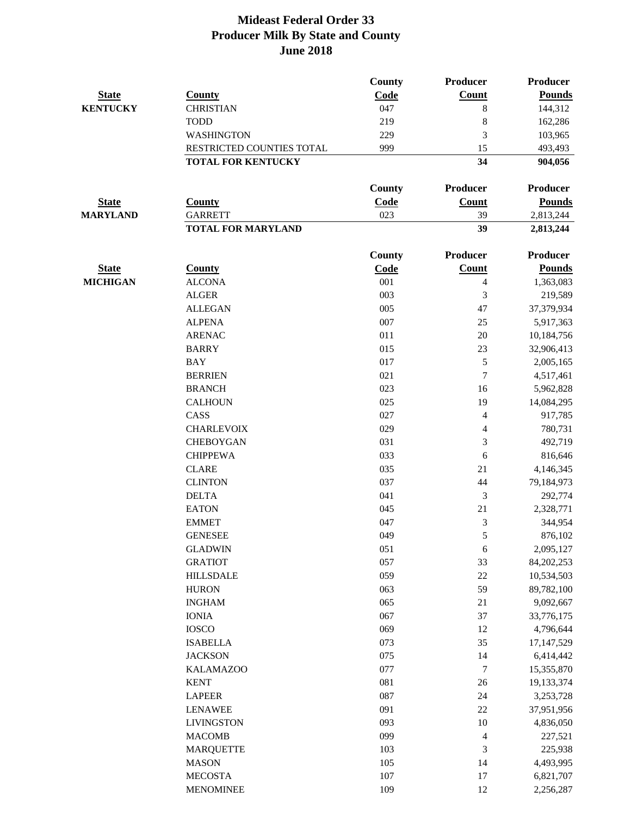|                 |                           | <b>County</b> | Producer   | Producer        |
|-----------------|---------------------------|---------------|------------|-----------------|
| <b>State</b>    | <b>County</b>             | Code          | Count      | <b>Pounds</b>   |
| <b>KENTUCKY</b> | <b>CHRISTIAN</b>          | 047           | 8          | 144,312         |
|                 | <b>TODD</b>               | 219           | 8          | 162,286         |
|                 | <b>WASHINGTON</b>         | 229           | 3          | 103,965         |
|                 | RESTRICTED COUNTIES TOTAL | 999           | 15         | 493,493         |
|                 | <b>TOTAL FOR KENTUCKY</b> |               | 34         | 904,056         |
|                 |                           | County        | Producer   | <b>Producer</b> |
| <b>State</b>    | <b>County</b>             | Code          | Count      | <b>Pounds</b>   |
| <b>MARYLAND</b> | <b>GARRETT</b>            | 023           | 39         | 2,813,244       |
|                 | <b>TOTAL FOR MARYLAND</b> |               | 39         | 2,813,244       |
|                 |                           | <b>County</b> | Producer   | Producer        |
| <b>State</b>    | <b>County</b>             | Code          | Count      | <b>Pounds</b>   |
| <b>MICHIGAN</b> | <b>ALCONA</b>             | 001           | 4          | 1,363,083       |
|                 | <b>ALGER</b>              | 003           | 3          | 219,589         |
|                 | <b>ALLEGAN</b>            | 005           | 47         | 37,379,934      |
|                 | <b>ALPENA</b>             | 007           | 25         | 5,917,363       |
|                 | <b>ARENAC</b>             | 011           | $20\,$     | 10,184,756      |
|                 | <b>BARRY</b>              | 015           | 23         | 32,906,413      |
|                 | <b>BAY</b>                | 017           | 5          | 2,005,165       |
|                 | <b>BERRIEN</b>            | 021           | $\tau$     | 4,517,461       |
|                 | <b>BRANCH</b>             | 023           | 16         | 5,962,828       |
|                 | <b>CALHOUN</b>            | 025           | 19         | 14,084,295      |
|                 | CASS                      | 027           | 4          | 917,785         |
|                 | <b>CHARLEVOIX</b>         | 029           | 4          | 780,731         |
|                 | <b>CHEBOYGAN</b>          | 031           | 3          | 492,719         |
|                 | <b>CHIPPEWA</b>           | 033           | 6          | 816,646         |
|                 | <b>CLARE</b>              | 035           | 21         | 4,146,345       |
|                 | <b>CLINTON</b>            | 037           | 44         | 79,184,973      |
|                 | <b>DELTA</b>              | 041           | 3          | 292,774         |
|                 | <b>EATON</b>              | 045           | 21         | 2,328,771       |
|                 | <b>EMMET</b>              | 047           | 3          | 344,954         |
|                 | <b>GENESEE</b>            | 049           | 5          | 876,102         |
|                 | <b>GLADWIN</b>            | 051           | $\sqrt{6}$ | 2,095,127       |
|                 | <b>GRATIOT</b>            | 057           | 33         | 84, 202, 253    |
|                 | <b>HILLSDALE</b>          | 059           | $22\,$     | 10,534,503      |
|                 | <b>HURON</b>              | 063           | 59         | 89,782,100      |
|                 | <b>INGHAM</b>             | 065           | 21         | 9,092,667       |
|                 | <b>IONIA</b>              | 067           | 37         | 33,776,175      |
|                 | <b>IOSCO</b>              | 069           | 12         | 4,796,644       |
|                 | <b>ISABELLA</b>           | 073           | 35         | 17,147,529      |
|                 | <b>JACKSON</b>            | 075           | 14         | 6,414,442       |
|                 | <b>KALAMAZOO</b>          | 077           | 7          | 15,355,870      |
|                 | <b>KENT</b>               | 081           | $26\,$     | 19,133,374      |
|                 | <b>LAPEER</b>             | 087           | 24         | 3,253,728       |
|                 | <b>LENAWEE</b>            | 091           | 22         | 37,951,956      |
|                 | <b>LIVINGSTON</b>         | 093           | $10\,$     | 4,836,050       |
|                 | <b>MACOMB</b>             | 099           | 4          | 227,521         |
|                 | <b>MARQUETTE</b>          | 103           | 3          | 225,938         |
|                 | <b>MASON</b>              | 105           | 14         | 4,493,995       |
|                 | <b>MECOSTA</b>            | 107           | 17         | 6,821,707       |
|                 | <b>MENOMINEE</b>          | 109           | 12         | 2,256,287       |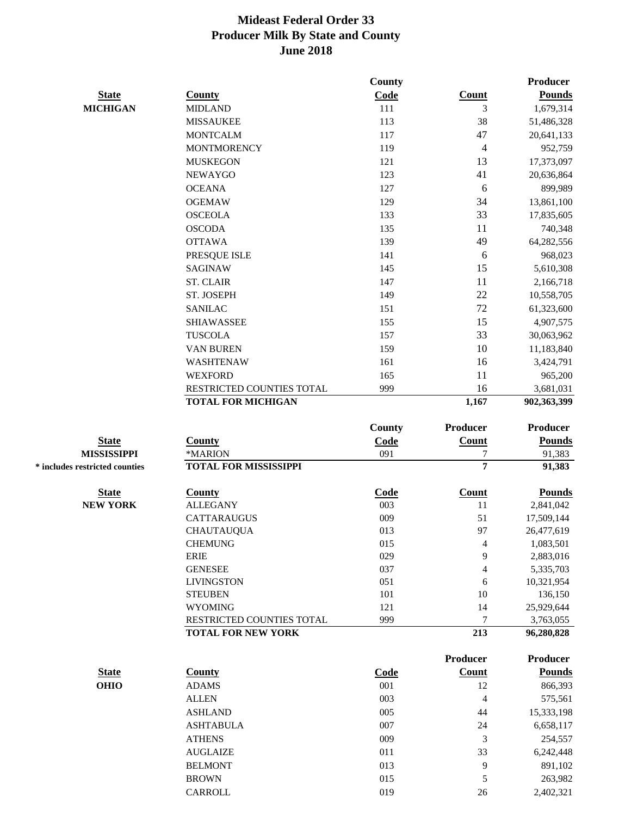|                                |                              | <b>County</b> |                  | Producer        |
|--------------------------------|------------------------------|---------------|------------------|-----------------|
| <b>State</b>                   | <b>County</b>                | Code          | <b>Count</b>     | <b>Pounds</b>   |
| <b>MICHIGAN</b>                | <b>MIDLAND</b>               | 111           | 3                | 1,679,314       |
|                                | <b>MISSAUKEE</b>             | 113           | 38               | 51,486,328      |
|                                | <b>MONTCALM</b>              | 117           | 47               | 20,641,133      |
|                                | <b>MONTMORENCY</b>           | 119           | 4                | 952,759         |
|                                | <b>MUSKEGON</b>              | 121           | 13               | 17,373,097      |
|                                | <b>NEWAYGO</b>               | 123           | 41               | 20,636,864      |
|                                | <b>OCEANA</b>                | 127           | 6                | 899,989         |
|                                | <b>OGEMAW</b>                | 129           | 34               | 13,861,100      |
|                                | <b>OSCEOLA</b>               | 133           | 33               | 17,835,605      |
|                                | <b>OSCODA</b>                | 135           | 11               | 740,348         |
|                                | <b>OTTAWA</b>                | 139           | 49               | 64,282,556      |
|                                | PRESQUE ISLE                 | 141           | $\boldsymbol{6}$ | 968,023         |
|                                | <b>SAGINAW</b>               | 145           | 15               | 5,610,308       |
|                                | <b>ST. CLAIR</b>             | 147           | 11               | 2,166,718       |
|                                | ST. JOSEPH                   | 149           | 22               | 10,558,705      |
|                                | <b>SANILAC</b>               | 151           | 72               | 61,323,600      |
|                                | <b>SHIAWASSEE</b>            | 155           | 15               | 4,907,575       |
|                                | <b>TUSCOLA</b>               | 157           | 33               | 30,063,962      |
|                                | VAN BUREN                    | 159           | 10               | 11,183,840      |
|                                | <b>WASHTENAW</b>             | 161           | 16               | 3,424,791       |
|                                | <b>WEXFORD</b>               | 165           | 11               | 965,200         |
|                                | RESTRICTED COUNTIES TOTAL    | 999           | 16               | 3,681,031       |
|                                | <b>TOTAL FOR MICHIGAN</b>    |               | 1,167            | 902,363,399     |
|                                |                              |               |                  |                 |
|                                |                              | <b>County</b> | <b>Producer</b>  | <b>Producer</b> |
| <b>State</b>                   | <b>County</b>                | Code          | Count            | <b>Pounds</b>   |
| <b>MISSISSIPPI</b>             | *MARION                      | 091           | 7                | 91,383          |
| * includes restricted counties | <b>TOTAL FOR MISSISSIPPI</b> |               | $\overline{7}$   | 91,383          |
| <b>State</b>                   | <b>County</b>                | Code          | <b>Count</b>     | <b>Pounds</b>   |
| <b>NEW YORK</b>                | <b>ALLEGANY</b>              | 003           | 11               | 2,841,042       |
|                                | <b>CATTARAUGUS</b>           | 009           | 51               | 17,509,144      |
|                                | <b>CHAUTAUQUA</b>            | 013           | 97               | 26,477,619      |
|                                | <b>CHEMUNG</b>               | 015           | 4                | 1,083,501       |
|                                | <b>ERIE</b>                  | 029           | 9                | 2,883,016       |
|                                | <b>GENESEE</b>               | 037           | 4                | 5,335,703       |
|                                | <b>LIVINGSTON</b>            | 051           | 6                | 10,321,954      |
|                                | <b>STEUBEN</b>               | 101           | 10               | 136,150         |
|                                | <b>WYOMING</b>               | 121           | 14               | 25,929,644      |
|                                | RESTRICTED COUNTIES TOTAL    | 999           | 7                | 3,763,055       |
|                                | <b>TOTAL FOR NEW YORK</b>    |               | 213              | 96,280,828      |
|                                |                              |               | <b>Producer</b>  | <b>Producer</b> |
| <b>State</b>                   | <b>County</b>                | Code          | <b>Count</b>     | <b>Pounds</b>   |
| <b>OHIO</b>                    | <b>ADAMS</b>                 | 001           | 12               | 866,393         |
|                                | <b>ALLEN</b>                 | 003           | $\overline{4}$   | 575,561         |
|                                | <b>ASHLAND</b>               | 005           | 44               | 15,333,198      |
|                                | <b>ASHTABULA</b>             | 007           | 24               | 6,658,117       |
|                                | <b>ATHENS</b>                | 009           | 3                | 254,557         |
|                                | <b>AUGLAIZE</b>              | 011           | 33               | 6,242,448       |
|                                | <b>BELMONT</b>               | 013           | 9                | 891,102         |
|                                |                              |               |                  |                 |
|                                | <b>BROWN</b>                 | 015           | $\sqrt{5}$       | 263,982         |

CARROLL 019 26 2,402,321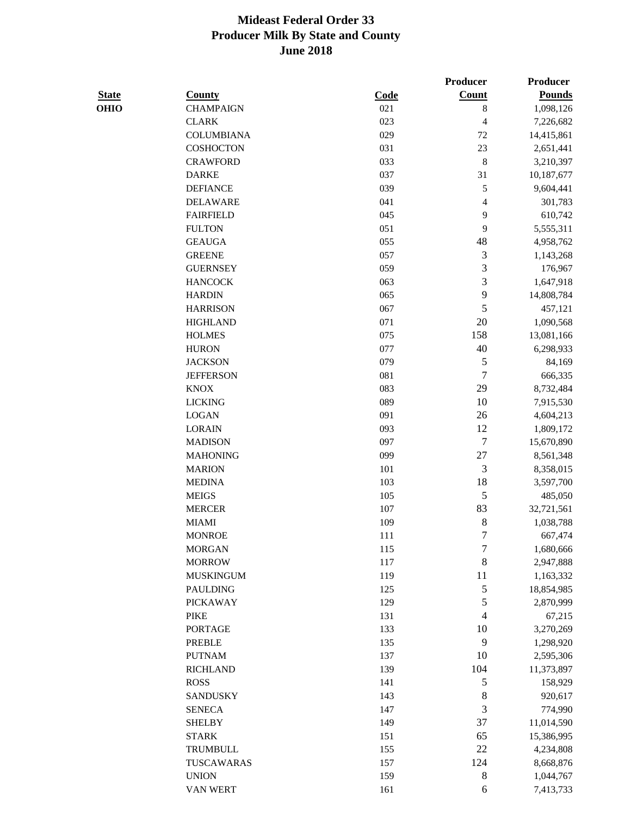|              |                   |             | Producer                | Producer      |
|--------------|-------------------|-------------|-------------------------|---------------|
| <b>State</b> | <b>County</b>     | <b>Code</b> | <b>Count</b>            | <b>Pounds</b> |
| <b>OHIO</b>  | <b>CHAMPAIGN</b>  | 021         | $\,$ 8 $\,$             | 1,098,126     |
|              | <b>CLARK</b>      | 023         | 4                       | 7,226,682     |
|              | <b>COLUMBIANA</b> | 029         | 72                      | 14,415,861    |
|              | <b>COSHOCTON</b>  | 031         | 23                      | 2,651,441     |
|              | <b>CRAWFORD</b>   | 033         | 8                       | 3,210,397     |
|              | <b>DARKE</b>      | 037         | 31                      | 10,187,677    |
|              | <b>DEFIANCE</b>   | 039         | 5                       | 9,604,441     |
|              | <b>DELAWARE</b>   | 041         | $\overline{\mathbf{4}}$ | 301,783       |
|              | <b>FAIRFIELD</b>  | 045         | 9                       | 610,742       |
|              | <b>FULTON</b>     | 051         | 9                       | 5,555,311     |
|              | <b>GEAUGA</b>     | 055         | 48                      | 4,958,762     |
|              | <b>GREENE</b>     | 057         | $\mathfrak{Z}$          | 1,143,268     |
|              | <b>GUERNSEY</b>   | 059         | 3                       | 176,967       |
|              | <b>HANCOCK</b>    | 063         | 3                       | 1,647,918     |
|              | <b>HARDIN</b>     | 065         | 9                       | 14,808,784    |
|              | <b>HARRISON</b>   | 067         | 5                       | 457,121       |
|              | <b>HIGHLAND</b>   | 071         | 20                      | 1,090,568     |
|              | <b>HOLMES</b>     | 075         | 158                     | 13,081,166    |
|              | <b>HURON</b>      | 077         | 40                      | 6,298,933     |
|              | <b>JACKSON</b>    | 079         | 5                       | 84,169        |
|              | <b>JEFFERSON</b>  | 081         | $\overline{7}$          | 666,335       |
|              | <b>KNOX</b>       | 083         | 29                      | 8,732,484     |
|              | <b>LICKING</b>    | 089         | 10                      | 7,915,530     |
|              | <b>LOGAN</b>      | 091         | 26                      | 4,604,213     |
|              | <b>LORAIN</b>     | 093         | 12                      | 1,809,172     |
|              | <b>MADISON</b>    | 097         | 7                       | 15,670,890    |
|              | <b>MAHONING</b>   | 099         | 27                      | 8,561,348     |
|              | <b>MARION</b>     | 101         | 3                       | 8,358,015     |
|              | <b>MEDINA</b>     | 103         | 18                      | 3,597,700     |
|              | <b>MEIGS</b>      | 105         | 5                       | 485,050       |
|              | <b>MERCER</b>     | 107         | 83                      | 32,721,561    |
|              | <b>MIAMI</b>      | 109         | 8                       | 1,038,788     |
|              | <b>MONROE</b>     | 111         | 7                       | 667,474       |
|              | <b>MORGAN</b>     | 115         | 7                       | 1,680,666     |
|              | <b>MORROW</b>     | 117         | $\,$ $\,$               | 2,947,888     |
|              | <b>MUSKINGUM</b>  | 119         | 11                      | 1,163,332     |
|              | <b>PAULDING</b>   | 125         | 5                       | 18,854,985    |
|              | <b>PICKAWAY</b>   | 129         | 5                       | 2,870,999     |
|              | <b>PIKE</b>       | 131         | $\overline{4}$          | 67,215        |
|              | <b>PORTAGE</b>    | 133         | 10                      | 3,270,269     |
|              | PREBLE            | 135         | 9                       | 1,298,920     |
|              | <b>PUTNAM</b>     | 137         | 10                      | 2,595,306     |
|              | <b>RICHLAND</b>   | 139         | 104                     | 11,373,897    |
|              | <b>ROSS</b>       | 141         | 5                       | 158,929       |
|              | <b>SANDUSKY</b>   | 143         | $\,$ $\,$               | 920,617       |
|              | <b>SENECA</b>     | 147         | 3                       | 774,990       |
|              | <b>SHELBY</b>     | 149         | 37                      | 11,014,590    |
|              | <b>STARK</b>      | 151         | 65                      | 15,386,995    |
|              | <b>TRUMBULL</b>   | 155         | 22                      | 4,234,808     |
|              | TUSCAWARAS        | 157         | 124                     | 8,668,876     |
|              | <b>UNION</b>      | 159         | $\,8\,$                 | 1,044,767     |
|              | VAN WERT          | 161         | 6                       | 7,413,733     |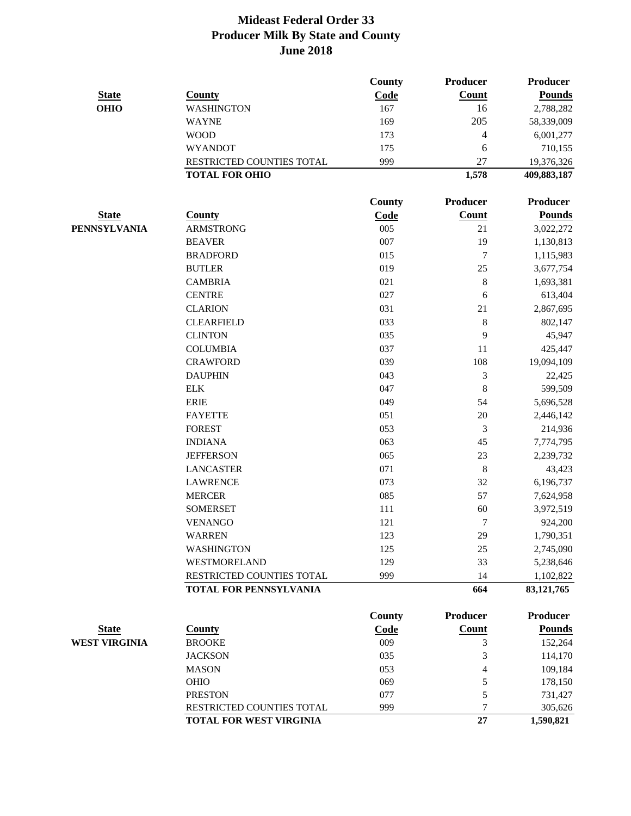|                      |                                | <b>County</b> | Producer       | <b>Producer</b> |
|----------------------|--------------------------------|---------------|----------------|-----------------|
| <b>State</b>         | <b>County</b>                  | Code          | Count          | <b>Pounds</b>   |
| <b>OHIO</b>          | <b>WASHINGTON</b>              | 167           | 16             | 2,788,282       |
|                      | <b>WAYNE</b>                   | 169           | 205            | 58,339,009      |
|                      | <b>WOOD</b>                    | 173           | $\overline{4}$ | 6,001,277       |
|                      | <b>WYANDOT</b>                 | 175           | 6              | 710,155         |
|                      | RESTRICTED COUNTIES TOTAL      | 999           | 27             | 19,376,326      |
|                      | <b>TOTAL FOR OHIO</b>          |               | 1,578          | 409,883,187     |
|                      |                                | <b>County</b> | Producer       | <b>Producer</b> |
| <b>State</b>         | <b>County</b>                  | Code          | Count          | <b>Pounds</b>   |
| <b>PENNSYLVANIA</b>  | <b>ARMSTRONG</b>               | 005           | 21             | 3,022,272       |
|                      | <b>BEAVER</b>                  | 007           | 19             | 1,130,813       |
|                      | <b>BRADFORD</b>                | 015           | 7              | 1,115,983       |
|                      | <b>BUTLER</b>                  | 019           | 25             | 3,677,754       |
|                      | <b>CAMBRIA</b>                 | 021           | $\,8\,$        | 1,693,381       |
|                      | <b>CENTRE</b>                  | 027           | 6              | 613,404         |
|                      | <b>CLARION</b>                 | 031           | 21             | 2,867,695       |
|                      | <b>CLEARFIELD</b>              | 033           | $\,8\,$        | 802,147         |
|                      | <b>CLINTON</b>                 | 035           | 9              | 45,947          |
|                      | <b>COLUMBIA</b>                | 037           | 11             | 425,447         |
|                      | <b>CRAWFORD</b>                | 039           | 108            | 19,094,109      |
|                      | <b>DAUPHIN</b>                 | 043           | 3              | 22,425          |
|                      | ${\rm ELK}$                    | 047           | $\,8\,$        | 599,509         |
|                      | <b>ERIE</b>                    | 049           | 54             | 5,696,528       |
|                      | <b>FAYETTE</b>                 | 051           | 20             | 2,446,142       |
|                      | <b>FOREST</b>                  | 053           | 3              | 214,936         |
|                      | <b>INDIANA</b>                 | 063           | 45             | 7,774,795       |
|                      | <b>JEFFERSON</b>               | 065           | 23             | 2,239,732       |
|                      | <b>LANCASTER</b>               | 071           | 8              | 43,423          |
|                      | <b>LAWRENCE</b>                | 073           | 32             | 6,196,737       |
|                      | <b>MERCER</b>                  | 085           | 57             | 7,624,958       |
|                      | <b>SOMERSET</b>                | 111           | 60             | 3,972,519       |
|                      | <b>VENANGO</b>                 | 121           | 7              | 924,200         |
|                      | WARREN                         | 123           | 29             | 1,790,351       |
|                      | WASHINGTON                     | 125           | 25             | 2,745,090       |
|                      | WESTMORELAND                   | 129           | 33             | 5,238,646       |
|                      | RESTRICTED COUNTIES TOTAL      | 999           | 14             | 1,102,822       |
|                      | TOTAL FOR PENNSYLVANIA         |               | 664            | 83, 121, 765    |
|                      |                                | <b>County</b> | Producer       | Producer        |
| <b>State</b>         | <b>County</b>                  | Code          | Count          | <b>Pounds</b>   |
| <b>WEST VIRGINIA</b> | <b>BROOKE</b>                  | 009           | 3              | 152,264         |
|                      | <b>JACKSON</b>                 | 035           | 3              | 114,170         |
|                      | <b>MASON</b>                   | 053           | 4              | 109,184         |
|                      | OHIO                           | 069           | 5              | 178,150         |
|                      | <b>PRESTON</b>                 | 077           | 5              | 731,427         |
|                      | RESTRICTED COUNTIES TOTAL      | 999           | 7              | 305,626         |
|                      | <b>TOTAL FOR WEST VIRGINIA</b> |               | 27             | 1,590,821       |